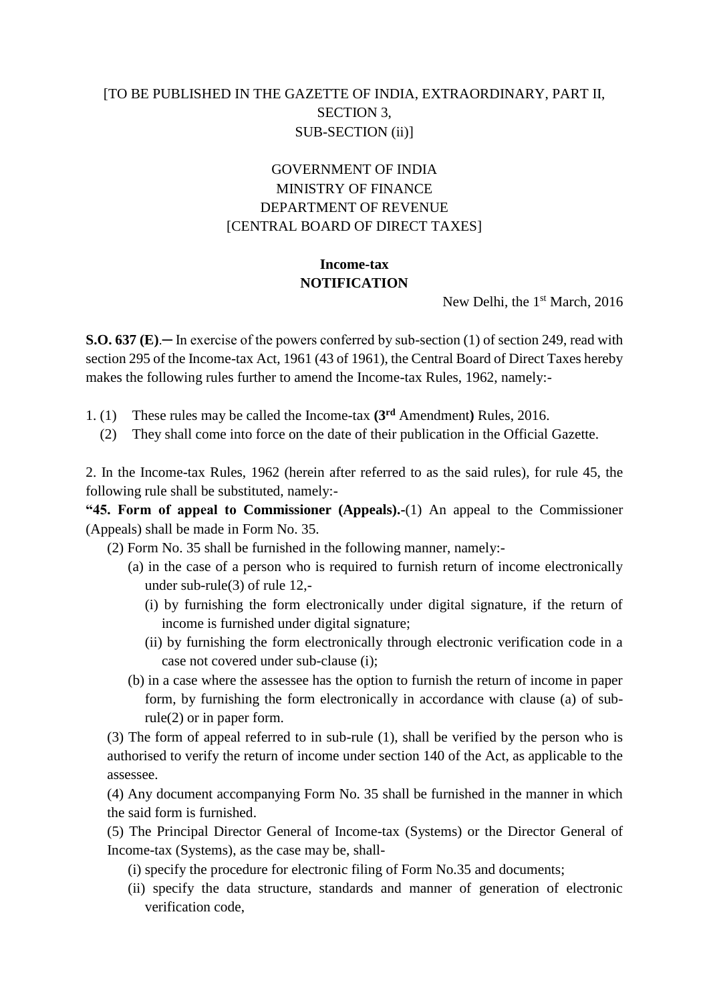## [TO BE PUBLISHED IN THE GAZETTE OF INDIA, EXTRAORDINARY, PART II, SECTION 3, SUB-SECTION (ii)]

# GOVERNMENT OF INDIA MINISTRY OF FINANCE DEPARTMENT OF REVENUE [CENTRAL BOARD OF DIRECT TAXES]

# **Income-tax NOTIFICATION**

New Delhi, the 1<sup>st</sup> March, 2016

**S.O. 637 (E)**.─ In exercise of the powers conferred by sub-section (1) of section 249, read with section 295 of the Income-tax Act, 1961 (43 of 1961), the Central Board of Direct Taxes hereby makes the following rules further to amend the Income-tax Rules, 1962, namely:-

- 1. (1) These rules may be called the Income-tax **(3rd** Amendment**)** Rules, 2016.
	- (2) They shall come into force on the date of their publication in the Official Gazette.

2. In the Income-tax Rules, 1962 (herein after referred to as the said rules), for rule 45, the following rule shall be substituted, namely:-

**"45. Form of appeal to Commissioner (Appeals).-**(1) An appeal to the Commissioner (Appeals) shall be made in Form No. 35.

(2) Form No. 35 shall be furnished in the following manner, namely:-

- (a) in the case of a person who is required to furnish return of income electronically under sub-rule(3) of rule 12,-
	- (i) by furnishing the form electronically under digital signature, if the return of income is furnished under digital signature;
	- (ii) by furnishing the form electronically through electronic verification code in a case not covered under sub-clause (i);
- (b) in a case where the assessee has the option to furnish the return of income in paper form, by furnishing the form electronically in accordance with clause (a) of subrule(2) or in paper form.

(3) The form of appeal referred to in sub-rule (1), shall be verified by the person who is authorised to verify the return of income under section 140 of the Act, as applicable to the assessee.

(4) Any document accompanying Form No. 35 shall be furnished in the manner in which the said form is furnished.

(5) The Principal Director General of Income-tax (Systems) or the Director General of Income-tax (Systems), as the case may be, shall-

- (i) specify the procedure for electronic filing of Form No.35 and documents;
- (ii) specify the data structure, standards and manner of generation of electronic verification code,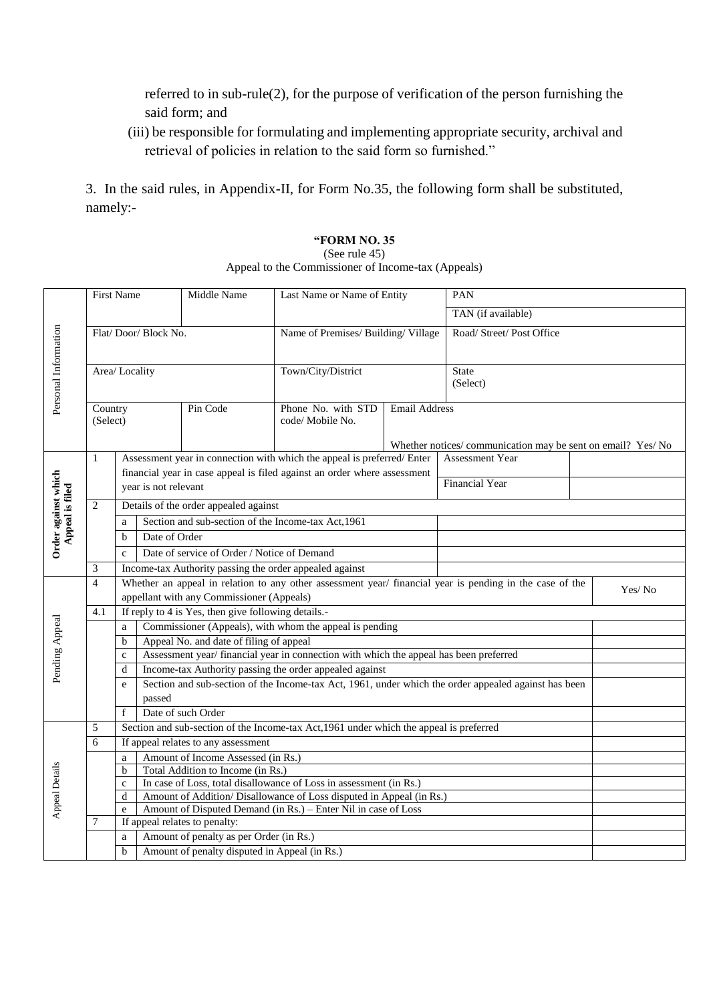referred to in sub-rule(2), for the purpose of verification of the person furnishing the said form; and

(iii) be responsible for formulating and implementing appropriate security, archival and retrieval of policies in relation to the said form so furnished."

3. In the said rules, in Appendix-II, for Form No.35, the following form shall be substituted, namely:-

#### **"FORM NO. 35**

#### (See rule 45)

Appeal to the Commissioner of Income-tax (Appeals)

|                                        | <b>First Name</b>               |                                                                                                          |                                                                                                      | Middle Name<br>Last Name or Name of Entity  |                                                                          | <b>PAN</b>    |                                                             |  |  |  |
|----------------------------------------|---------------------------------|----------------------------------------------------------------------------------------------------------|------------------------------------------------------------------------------------------------------|---------------------------------------------|--------------------------------------------------------------------------|---------------|-------------------------------------------------------------|--|--|--|
| Personal Information                   |                                 |                                                                                                          |                                                                                                      |                                             |                                                                          |               | TAN (if available)                                          |  |  |  |
|                                        | Flat/Door/Block No.             |                                                                                                          |                                                                                                      |                                             | Name of Premises/ Building/ Village                                      |               | Road/ Street/ Post Office                                   |  |  |  |
|                                        | Area/Locality                   |                                                                                                          |                                                                                                      |                                             | Town/City/District                                                       |               | <b>State</b><br>(Select)                                    |  |  |  |
|                                        | Pin Code<br>Country<br>(Select) |                                                                                                          |                                                                                                      |                                             | Phone No. with STD<br>code/ Mobile No.                                   | Email Address |                                                             |  |  |  |
|                                        |                                 |                                                                                                          |                                                                                                      |                                             |                                                                          |               | Whether notices/communication may be sent on email? Yes/ No |  |  |  |
| Order against which<br>Appeal is filed | $\mathbf{1}$                    |                                                                                                          |                                                                                                      |                                             | Assessment year in connection with which the appeal is preferred/Enter   |               | Assessment Year                                             |  |  |  |
|                                        |                                 |                                                                                                          |                                                                                                      |                                             | financial year in case appeal is filed against an order where assessment |               |                                                             |  |  |  |
|                                        |                                 |                                                                                                          | year is not relevant                                                                                 |                                             |                                                                          |               | <b>Financial Year</b>                                       |  |  |  |
|                                        | 2                               |                                                                                                          | Details of the order appealed against                                                                |                                             |                                                                          |               |                                                             |  |  |  |
|                                        |                                 | a                                                                                                        |                                                                                                      |                                             | Section and sub-section of the Income-tax Act, 1961                      |               |                                                             |  |  |  |
|                                        |                                 | $\mathbf b$                                                                                              | Date of Order                                                                                        |                                             |                                                                          |               |                                                             |  |  |  |
|                                        |                                 | $\mathbf{c}$                                                                                             |                                                                                                      | Date of service of Order / Notice of Demand |                                                                          |               |                                                             |  |  |  |
|                                        | 3                               |                                                                                                          | Income-tax Authority passing the order appealed against                                              |                                             |                                                                          |               |                                                             |  |  |  |
|                                        | $\overline{4}$                  | Whether an appeal in relation to any other assessment year/ financial year is pending in the case of the |                                                                                                      |                                             |                                                                          |               |                                                             |  |  |  |
|                                        |                                 |                                                                                                          | Yes/No<br>appellant with any Commissioner (Appeals)                                                  |                                             |                                                                          |               |                                                             |  |  |  |
|                                        | 4.1                             |                                                                                                          | If reply to 4 is Yes, then give following details.-                                                  |                                             |                                                                          |               |                                                             |  |  |  |
|                                        |                                 | Commissioner (Appeals), with whom the appeal is pending<br>a                                             |                                                                                                      |                                             |                                                                          |               |                                                             |  |  |  |
|                                        |                                 | $\mathbf b$                                                                                              | Appeal No. and date of filing of appeal                                                              |                                             |                                                                          |               |                                                             |  |  |  |
| Pending Appeal                         |                                 | $\mathbf{C}$                                                                                             | Assessment year/ financial year in connection with which the appeal has been preferred               |                                             |                                                                          |               |                                                             |  |  |  |
|                                        |                                 | d                                                                                                        | Income-tax Authority passing the order appealed against                                              |                                             |                                                                          |               |                                                             |  |  |  |
|                                        |                                 | e                                                                                                        | Section and sub-section of the Income-tax Act, 1961, under which the order appealed against has been |                                             |                                                                          |               |                                                             |  |  |  |
|                                        |                                 |                                                                                                          | passed                                                                                               |                                             |                                                                          |               |                                                             |  |  |  |
|                                        |                                 | $\mathbf{f}$                                                                                             | Date of such Order                                                                                   |                                             |                                                                          |               |                                                             |  |  |  |
| Appeal Details                         | 5                               |                                                                                                          | Section and sub-section of the Income-tax Act, 1961 under which the appeal is preferred              |                                             |                                                                          |               |                                                             |  |  |  |
|                                        | 6                               |                                                                                                          | If appeal relates to any assessment                                                                  |                                             |                                                                          |               |                                                             |  |  |  |
|                                        |                                 | a                                                                                                        |                                                                                                      | Amount of Income Assessed (in Rs.)          |                                                                          |               |                                                             |  |  |  |
|                                        |                                 | b                                                                                                        | Total Addition to Income (in Rs.)                                                                    |                                             |                                                                          |               |                                                             |  |  |  |
|                                        |                                 | $\mathbf c$                                                                                              | In case of Loss, total disallowance of Loss in assessment (in Rs.)                                   |                                             |                                                                          |               |                                                             |  |  |  |
|                                        |                                 | $\mathbf d$                                                                                              | Amount of Addition/Disallowance of Loss disputed in Appeal (in Rs.)                                  |                                             |                                                                          |               |                                                             |  |  |  |
|                                        | 7                               |                                                                                                          | Amount of Disputed Demand (in Rs.) - Enter Nil in case of Loss<br>e<br>If appeal relates to penalty: |                                             |                                                                          |               |                                                             |  |  |  |
|                                        |                                 | Amount of penalty as per Order (in Rs.)                                                                  |                                                                                                      |                                             |                                                                          |               |                                                             |  |  |  |
|                                        |                                 | a<br>b                                                                                                   | Amount of penalty disputed in Appeal (in Rs.)                                                        |                                             |                                                                          |               |                                                             |  |  |  |
|                                        |                                 |                                                                                                          |                                                                                                      |                                             |                                                                          |               |                                                             |  |  |  |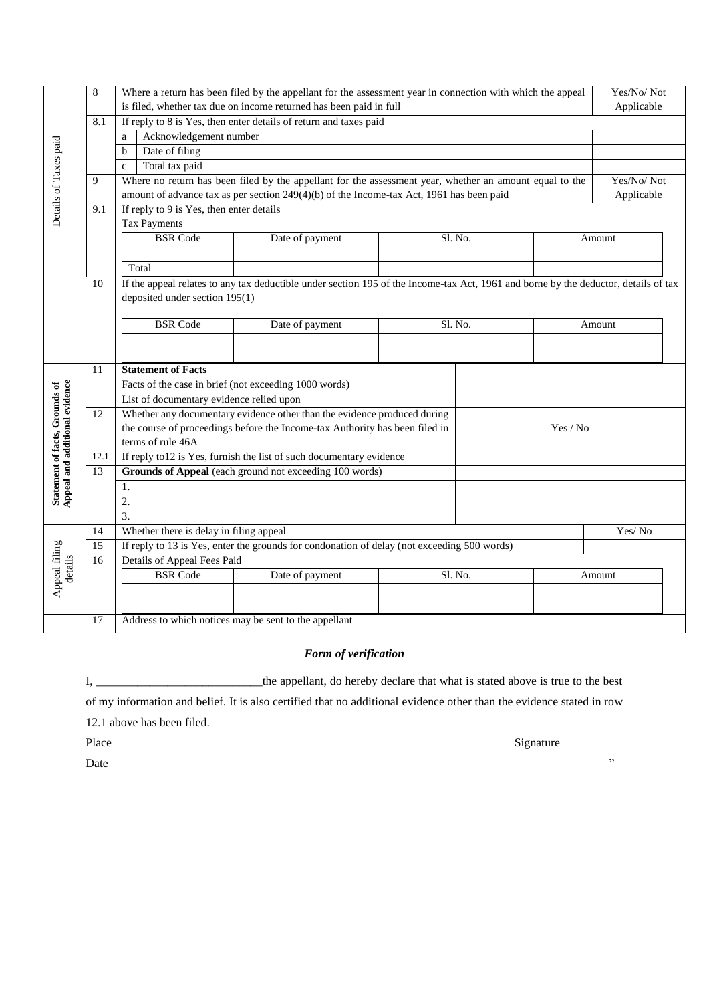|                                                                  | 8               | Where a return has been filed by the appellant for the assessment year in connection with which the appeal |                                                                                                                                     |                 |  |         |            |        |  |  |  |
|------------------------------------------------------------------|-----------------|------------------------------------------------------------------------------------------------------------|-------------------------------------------------------------------------------------------------------------------------------------|-----------------|--|---------|------------|--------|--|--|--|
|                                                                  |                 | is filed, whether tax due on income returned has been paid in full                                         |                                                                                                                                     |                 |  |         |            |        |  |  |  |
|                                                                  | 8.1             | If reply to 8 is Yes, then enter details of return and taxes paid                                          |                                                                                                                                     |                 |  |         |            |        |  |  |  |
|                                                                  |                 | Acknowledgement number<br>a                                                                                |                                                                                                                                     |                 |  |         |            |        |  |  |  |
|                                                                  |                 | Date of filing<br>$\mathbf b$                                                                              |                                                                                                                                     |                 |  |         |            |        |  |  |  |
| Details of Taxes paid                                            |                 | $\mathbf c$                                                                                                | Total tax paid                                                                                                                      |                 |  |         | Yes/No/Not |        |  |  |  |
|                                                                  | 9               | Where no return has been filed by the appellant for the assessment year, whether an amount equal to the    |                                                                                                                                     |                 |  |         |            |        |  |  |  |
|                                                                  |                 | amount of advance tax as per section 249(4)(b) of the Income-tax Act, 1961 has been paid                   |                                                                                                                                     |                 |  |         |            |        |  |  |  |
|                                                                  | 9.1             |                                                                                                            | If reply to 9 is Yes, then enter details                                                                                            |                 |  |         |            |        |  |  |  |
|                                                                  |                 | <b>Tax Payments</b>                                                                                        |                                                                                                                                     |                 |  |         |            |        |  |  |  |
|                                                                  |                 |                                                                                                            | <b>BSR</b> Code                                                                                                                     | Date of payment |  | Sl. No. |            | Amount |  |  |  |
|                                                                  |                 |                                                                                                            |                                                                                                                                     |                 |  |         |            |        |  |  |  |
|                                                                  |                 |                                                                                                            | Total                                                                                                                               |                 |  |         |            |        |  |  |  |
|                                                                  | 10              |                                                                                                            | If the appeal relates to any tax deductible under section 195 of the Income-tax Act, 1961 and borne by the deductor, details of tax |                 |  |         |            |        |  |  |  |
|                                                                  |                 | deposited under section 195(1)                                                                             |                                                                                                                                     |                 |  |         |            |        |  |  |  |
|                                                                  |                 |                                                                                                            | <b>BSR</b> Code                                                                                                                     |                 |  |         |            |        |  |  |  |
|                                                                  |                 |                                                                                                            |                                                                                                                                     | Date of payment |  | Sl. No. |            | Amount |  |  |  |
|                                                                  |                 |                                                                                                            |                                                                                                                                     |                 |  |         |            |        |  |  |  |
|                                                                  | 11              |                                                                                                            | <b>Statement of Facts</b>                                                                                                           |                 |  |         |            |        |  |  |  |
|                                                                  |                 |                                                                                                            | Facts of the case in brief (not exceeding 1000 words)                                                                               |                 |  |         |            |        |  |  |  |
|                                                                  |                 | List of documentary evidence relied upon                                                                   |                                                                                                                                     |                 |  |         |            |        |  |  |  |
|                                                                  | 12              |                                                                                                            | Whether any documentary evidence other than the evidence produced during                                                            |                 |  |         |            |        |  |  |  |
|                                                                  |                 |                                                                                                            | the course of proceedings before the Income-tax Authority has been filed in<br>Yes / No                                             |                 |  |         |            |        |  |  |  |
|                                                                  |                 |                                                                                                            | terms of rule 46A                                                                                                                   |                 |  |         |            |        |  |  |  |
|                                                                  | 12.1            | If reply to 12 is Yes, furnish the list of such documentary evidence                                       |                                                                                                                                     |                 |  |         |            |        |  |  |  |
| Statement of facts, Grounds of<br>Appeal and additional evidence | 13              | Grounds of Appeal (each ground not exceeding 100 words)                                                    |                                                                                                                                     |                 |  |         |            |        |  |  |  |
|                                                                  |                 | 1.                                                                                                         |                                                                                                                                     |                 |  |         |            |        |  |  |  |
|                                                                  |                 | 2.                                                                                                         |                                                                                                                                     |                 |  |         |            |        |  |  |  |
|                                                                  |                 | $\overline{3}$ .                                                                                           |                                                                                                                                     |                 |  |         |            |        |  |  |  |
| Appeal filing<br>details                                         | 14              |                                                                                                            | Whether there is delay in filing appeal                                                                                             |                 |  | Yes/No  |            |        |  |  |  |
|                                                                  | $\overline{15}$ | If reply to 13 is Yes, enter the grounds for condonation of delay (not exceeding 500 words)                |                                                                                                                                     |                 |  |         |            |        |  |  |  |
|                                                                  | 16              | Details of Appeal Fees Paid                                                                                |                                                                                                                                     |                 |  |         |            |        |  |  |  |
|                                                                  |                 |                                                                                                            | <b>BSR</b> Code                                                                                                                     | Date of payment |  | Sl. No. |            | Amount |  |  |  |
|                                                                  |                 |                                                                                                            |                                                                                                                                     |                 |  |         |            |        |  |  |  |
|                                                                  |                 |                                                                                                            |                                                                                                                                     |                 |  |         |            |        |  |  |  |
|                                                                  | 17              |                                                                                                            | Address to which notices may be sent to the appellant                                                                               |                 |  |         |            |        |  |  |  |

### *Form of verification*

I, \_\_\_\_\_\_\_\_\_\_\_\_\_\_\_\_\_\_\_\_\_\_\_\_\_\_\_\_the appellant, do hereby declare that what is stated above is true to the best

of my information and belief. It is also certified that no additional evidence other than the evidence stated in row

12.1 above has been filed.

Date when the contract of the contract of the contract of the contract of the contract of the contract of the contract of the contract of the contract of the contract of the contract of the contract of the contract of the

Place Signature Signature